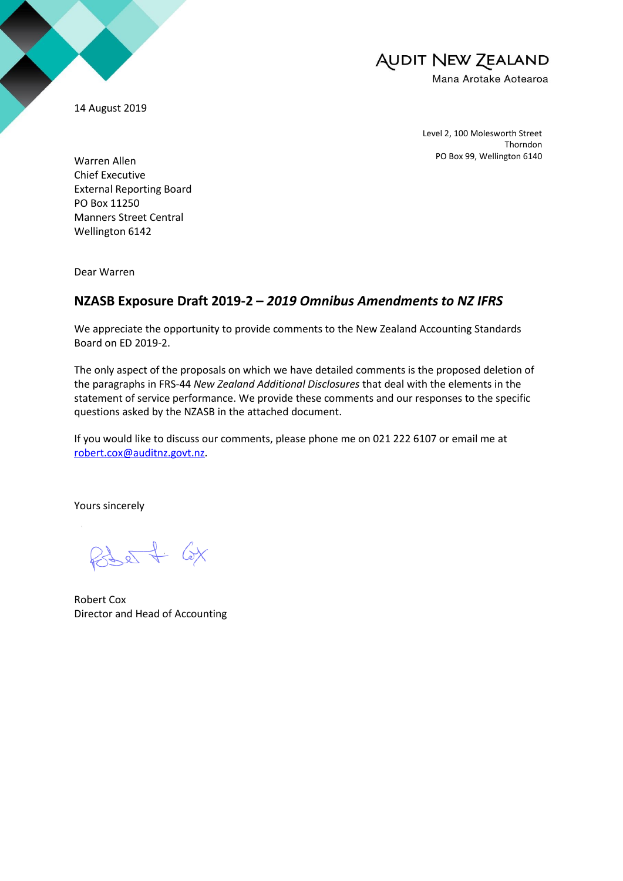14 August 2019

# **AUDIT NEW ZEALAND** Mana Arotake Aotearoa

Level 2, 100 Molesworth Street Thorndon PO Box 99, Wellington 6140

Warren Allen Chief Executive External Reporting Board PO Box 11250 Manners Street Central Wellington 6142

Dear Warren

## **NZASB Exposure Draft 2019-2 –** *2019 Omnibus Amendments to NZ IFRS*

We appreciate the opportunity to provide comments to the New Zealand Accounting Standards Board on ED 2019-2.

The only aspect of the proposals on which we have detailed comments is the proposed deletion of the paragraphs in FRS-44 *New Zealand Additional Disclosures* that deal with the elements in the statement of service performance. We provide these comments and our responses to the specific questions asked by the NZASB in the attached document.

If you would like to discuss our comments, please phone me on 021 222 6107 or email me at [robert.cox@auditnz.govt.nz.](mailto:robert.cox@auditnz.govt.nz)

Yours sincerely

 $850 + 6x$ 

Robert Cox Director and Head of Accounting